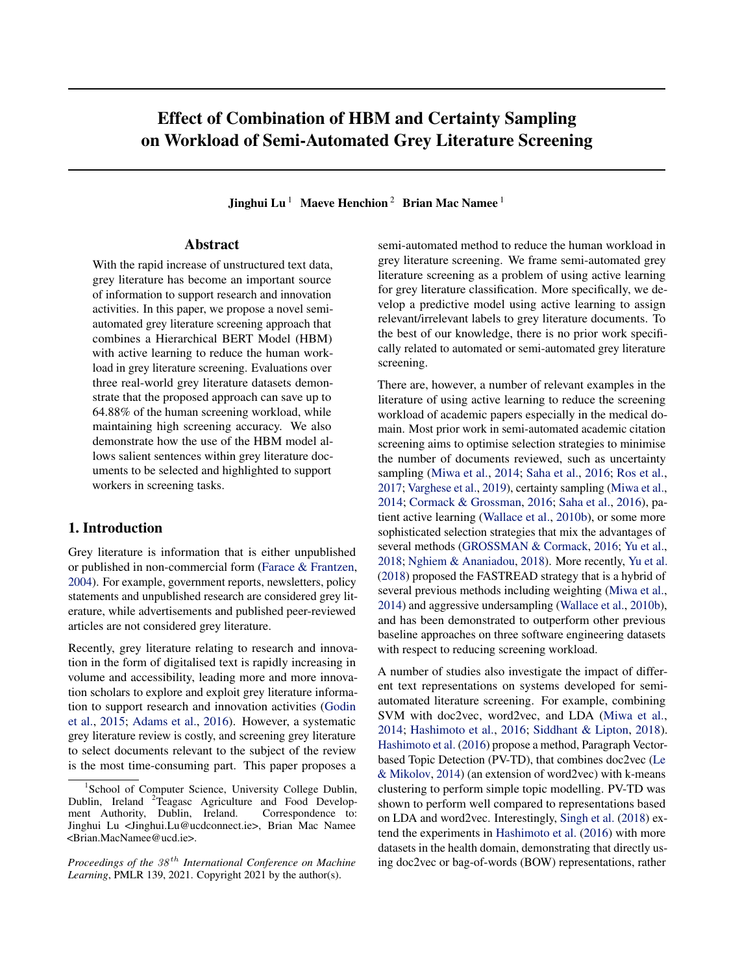# Effect of Combination of HBM and Certainty Sampling on Workload of Semi-Automated Grey Literature Screening

Jinghui Lu<sup>1</sup> Maeve Henchion<sup>2</sup> Brian Mac Namee<sup>1</sup>

# Abstract

With the rapid increase of unstructured text data, grey literature has become an important source of information to support research and innovation activities. In this paper, we propose a novel semiautomated grey literature screening approach that combines a Hierarchical BERT Model (HBM) with active learning to reduce the human workload in grey literature screening. Evaluations over three real-world grey literature datasets demonstrate that the proposed approach can save up to 64.88% of the human screening workload, while maintaining high screening accuracy. We also demonstrate how the use of the HBM model allows salient sentences within grey literature documents to be selected and highlighted to support workers in screening tasks.

# 1. Introduction

Grey literature is information that is either unpublished or published in non-commercial form [\(Farace & Frantzen,](#page-8-0) [2004\)](#page-8-0). For example, government reports, newsletters, policy statements and unpublished research are considered grey literature, while advertisements and published peer-reviewed articles are not considered grey literature.

Recently, grey literature relating to research and innovation in the form of digitalised text is rapidly increasing in volume and accessibility, leading more and more innovation scholars to explore and exploit grey literature information to support research and innovation activities [\(Godin](#page-8-0) [et al.,](#page-8-0) [2015;](#page-8-0) [Adams et al.,](#page-7-0) [2016\)](#page-7-0). However, a systematic grey literature review is costly, and screening grey literature to select documents relevant to the subject of the review is the most time-consuming part. This paper proposes a

semi-automated method to reduce the human workload in grey literature screening. We frame semi-automated grey literature screening as a problem of using active learning for grey literature classification. More specifically, we develop a predictive model using active learning to assign relevant/irrelevant labels to grey literature documents. To the best of our knowledge, there is no prior work specifically related to automated or semi-automated grey literature screening.

There are, however, a number of relevant examples in the literature of using active learning to reduce the screening workload of academic papers especially in the medical domain. Most prior work in semi-automated academic citation screening aims to optimise selection strategies to minimise the number of documents reviewed, such as uncertainty sampling [\(Miwa et al.,](#page-8-0) [2014;](#page-8-0) [Saha et al.,](#page-8-0) [2016;](#page-8-0) [Ros et al.,](#page-8-0) [2017;](#page-8-0) [Varghese et al.,](#page-9-0) [2019\)](#page-9-0), certainty sampling [\(Miwa et al.,](#page-8-0) [2014;](#page-8-0) [Cormack & Grossman,](#page-8-0) [2016;](#page-8-0) [Saha et al.,](#page-8-0) [2016\)](#page-8-0), patient active learning [\(Wallace et al.,](#page-9-0) [2010b\)](#page-9-0), or some more sophisticated selection strategies that mix the advantages of several methods [\(GROSSMAN & Cormack,](#page-8-0) [2016;](#page-8-0) [Yu et al.,](#page-9-0) [2018;](#page-9-0) [Nghiem & Ananiadou,](#page-8-0) [2018\)](#page-8-0). More recently, [Yu et al.](#page-9-0) [\(2018\)](#page-9-0) proposed the FASTREAD strategy that is a hybrid of several previous methods including weighting [\(Miwa et al.,](#page-8-0) [2014\)](#page-8-0) and aggressive undersampling [\(Wallace et al.,](#page-9-0) [2010b\)](#page-9-0), and has been demonstrated to outperform other previous baseline approaches on three software engineering datasets with respect to reducing screening workload.

A number of studies also investigate the impact of different text representations on systems developed for semiautomated literature screening. For example, combining SVM with doc2vec, word2vec, and LDA [\(Miwa et al.,](#page-8-0) [2014;](#page-8-0) [Hashimoto et al.,](#page-8-0) [2016;](#page-8-0) [Siddhant & Lipton,](#page-9-0) [2018\)](#page-9-0). [Hashimoto et al.](#page-8-0) [\(2016\)](#page-8-0) propose a method, Paragraph Vectorbased Topic Detection (PV-TD), that combines doc2vec [\(Le](#page-8-0) [& Mikolov,](#page-8-0) [2014\)](#page-8-0) (an extension of word2vec) with k-means clustering to perform simple topic modelling. PV-TD was shown to perform well compared to representations based on LDA and word2vec. Interestingly, [Singh et al.](#page-9-0) [\(2018\)](#page-9-0) extend the experiments in [Hashimoto et al.](#page-8-0) [\(2016\)](#page-8-0) with more datasets in the health domain, demonstrating that directly using doc2vec or bag-of-words (BOW) representations, rather

<sup>&</sup>lt;sup>1</sup>School of Computer Science, University College Dublin, Dublin, Ireland <sup>2</sup>Teagasc Agriculture and Food Development Authority, Dublin, Ireland. Correspondence to: Jinghui Lu <Jinghui.Lu@ucdconnect.ie>, Brian Mac Namee <Brian.MacNamee@ucd.ie>.

*Proceedings of the*  $38<sup>th</sup>$  *International Conference on Machine Learning*, PMLR 139, 2021. Copyright 2021 by the author(s).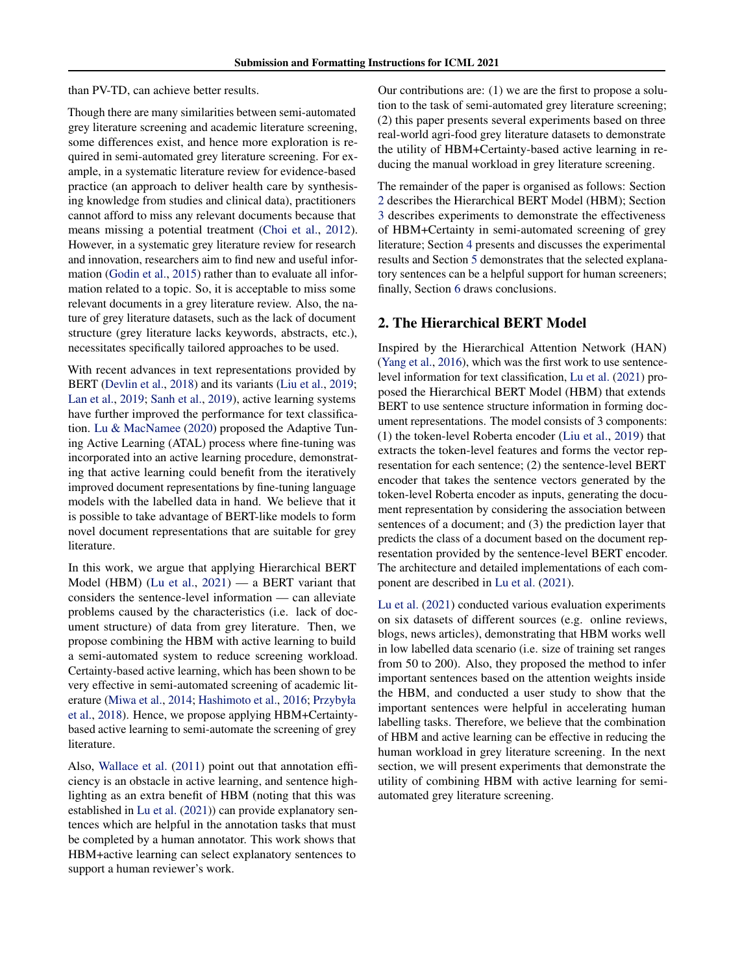than PV-TD, can achieve better results.

Though there are many similarities between semi-automated grey literature screening and academic literature screening, some differences exist, and hence more exploration is required in semi-automated grey literature screening. For example, in a systematic literature review for evidence-based practice (an approach to deliver health care by synthesising knowledge from studies and clinical data), practitioners cannot afford to miss any relevant documents because that means missing a potential treatment [\(Choi et al.,](#page-8-0) [2012\)](#page-8-0). However, in a systematic grey literature review for research and innovation, researchers aim to find new and useful information [\(Godin et al.,](#page-8-0) [2015\)](#page-8-0) rather than to evaluate all information related to a topic. So, it is acceptable to miss some relevant documents in a grey literature review. Also, the nature of grey literature datasets, such as the lack of document structure (grey literature lacks keywords, abstracts, etc.), necessitates specifically tailored approaches to be used.

With recent advances in text representations provided by BERT [\(Devlin et al.,](#page-8-0) [2018\)](#page-8-0) and its variants [\(Liu et al.,](#page-8-0) [2019;](#page-8-0) [Lan et al.,](#page-8-0) [2019;](#page-8-0) [Sanh et al.,](#page-8-0) [2019\)](#page-8-0), active learning systems have further improved the performance for text classification. [Lu & MacNamee](#page-8-0) [\(2020\)](#page-8-0) proposed the Adaptive Tuning Active Learning (ATAL) process where fine-tuning was incorporated into an active learning procedure, demonstrating that active learning could benefit from the iteratively improved document representations by fine-tuning language models with the labelled data in hand. We believe that it is possible to take advantage of BERT-like models to form novel document representations that are suitable for grey literature.

In this work, we argue that applying Hierarchical BERT Model (HBM) [\(Lu et al.,](#page-8-0) [2021\)](#page-8-0) — a BERT variant that considers the sentence-level information — can alleviate problems caused by the characteristics (i.e. lack of document structure) of data from grey literature. Then, we propose combining the HBM with active learning to build a semi-automated system to reduce screening workload. Certainty-based active learning, which has been shown to be very effective in semi-automated screening of academic literature [\(Miwa et al.,](#page-8-0) [2014;](#page-8-0) [Hashimoto et al.,](#page-8-0) [2016;](#page-8-0) [Przybyła](#page-8-0) [et al.,](#page-8-0) [2018\)](#page-8-0). Hence, we propose applying HBM+Certaintybased active learning to semi-automate the screening of grey literature.

Also, [Wallace et al.](#page-9-0) [\(2011\)](#page-9-0) point out that annotation efficiency is an obstacle in active learning, and sentence highlighting as an extra benefit of HBM (noting that this was established in [Lu et al.](#page-8-0) [\(2021\)](#page-8-0)) can provide explanatory sentences which are helpful in the annotation tasks that must be completed by a human annotator. This work shows that HBM+active learning can select explanatory sentences to support a human reviewer's work.

Our contributions are: (1) we are the first to propose a solution to the task of semi-automated grey literature screening; (2) this paper presents several experiments based on three real-world agri-food grey literature datasets to demonstrate the utility of HBM+Certainty-based active learning in reducing the manual workload in grey literature screening.

The remainder of the paper is organised as follows: Section 2 describes the Hierarchical BERT Model (HBM); Section [3](#page-2-0) describes experiments to demonstrate the effectiveness of HBM+Certainty in semi-automated screening of grey literature; Section [4](#page-4-0) presents and discusses the experimental results and Section [5](#page-6-0) demonstrates that the selected explanatory sentences can be a helpful support for human screeners; finally, Section [6](#page-7-0) draws conclusions.

# 2. The Hierarchical BERT Model

Inspired by the Hierarchical Attention Network (HAN) [\(Yang et al.,](#page-9-0) [2016\)](#page-9-0), which was the first work to use sentencelevel information for text classification, [Lu et al.](#page-8-0) [\(2021\)](#page-8-0) proposed the Hierarchical BERT Model (HBM) that extends BERT to use sentence structure information in forming document representations. The model consists of 3 components: (1) the token-level Roberta encoder [\(Liu et al.,](#page-8-0) [2019\)](#page-8-0) that extracts the token-level features and forms the vector representation for each sentence; (2) the sentence-level BERT encoder that takes the sentence vectors generated by the token-level Roberta encoder as inputs, generating the document representation by considering the association between sentences of a document; and (3) the prediction layer that predicts the class of a document based on the document representation provided by the sentence-level BERT encoder. The architecture and detailed implementations of each component are described in [Lu et al.](#page-8-0) [\(2021\)](#page-8-0).

[Lu et al.](#page-8-0) [\(2021\)](#page-8-0) conducted various evaluation experiments on six datasets of different sources (e.g. online reviews, blogs, news articles), demonstrating that HBM works well in low labelled data scenario (i.e. size of training set ranges from 50 to 200). Also, they proposed the method to infer important sentences based on the attention weights inside the HBM, and conducted a user study to show that the important sentences were helpful in accelerating human labelling tasks. Therefore, we believe that the combination of HBM and active learning can be effective in reducing the human workload in grey literature screening. In the next section, we will present experiments that demonstrate the utility of combining HBM with active learning for semiautomated grey literature screening.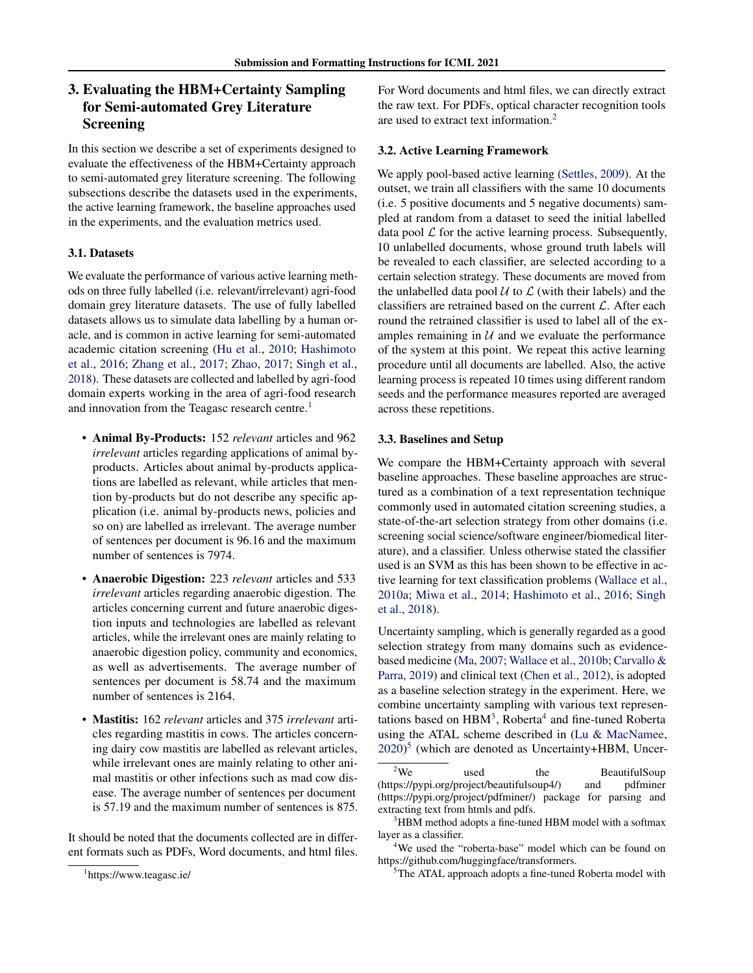# <span id="page-2-0"></span>3. Evaluating the HBM+Certainty Sampling for Semi-automated Grey Literature Screening

In this section we describe a set of experiments designed to evaluate the effectiveness of the HBM+Certainty approach to semi-automated grey literature screening. The following subsections describe the datasets used in the experiments, the active learning framework, the baseline approaches used in the experiments, and the evaluation metrics used.

# 3.1. Datasets

We evaluate the performance of various active learning methods on three fully labelled (i.e. relevant/irrelevant) agri-food domain grey literature datasets. The use of fully labelled datasets allows us to simulate data labelling by a human oracle, and is common in active learning for semi-automated academic citation screening [\(Hu et al.,](#page-8-0) [2010;](#page-8-0) [Hashimoto](#page-8-0) [et al.,](#page-8-0) [2016;](#page-8-0) [Zhang et al.,](#page-9-0) [2017;](#page-9-0) [Zhao,](#page-9-0) [2017;](#page-9-0) [Singh et al.,](#page-9-0) [2018\)](#page-9-0). These datasets are collected and labelled by agri-food domain experts working in the area of agri-food research and innovation from the Teagasc research centre.<sup>1</sup>

- Animal By-Products: 152 *relevant* articles and 962 *irrelevant* articles regarding applications of animal byproducts. Articles about animal by-products applications are labelled as relevant, while articles that mention by-products but do not describe any specific application (i.e. animal by-products news, policies and so on) are labelled as irrelevant. The average number of sentences per document is 96.16 and the maximum number of sentences is 7974.
- Anaerobic Digestion: 223 *relevant* articles and 533 *irrelevant* articles regarding anaerobic digestion. The articles concerning current and future anaerobic digestion inputs and technologies are labelled as relevant articles, while the irrelevant ones are mainly relating to anaerobic digestion policy, community and economics, as well as advertisements. The average number of sentences per document is 58.74 and the maximum number of sentences is 2164.
- Mastitis: 162 *relevant* articles and 375 *irrelevant* articles regarding mastitis in cows. The articles concerning dairy cow mastitis are labelled as relevant articles, while irrelevant ones are mainly relating to other animal mastitis or other infections such as mad cow disease. The average number of sentences per document is 57.19 and the maximum number of sentences is 875.

It should be noted that the documents collected are in different formats such as PDFs, Word documents, and html files.

For Word documents and html files, we can directly extract the raw text. For PDFs, optical character recognition tools are used to extract text information.<sup>2</sup>

### 3.2. Active Learning Framework

We apply pool-based active learning [\(Settles,](#page-9-0) [2009\)](#page-9-0). At the outset, we train all classifiers with the same 10 documents (i.e. 5 positive documents and 5 negative documents) sampled at random from a dataset to seed the initial labelled data pool  $\mathcal L$  for the active learning process. Subsequently, 10 unlabelled documents, whose ground truth labels will be revealed to each classifier, are selected according to a certain selection strategy. These documents are moved from the unlabelled data pool  $U$  to  $\mathcal L$  (with their labels) and the classifiers are retrained based on the current  $\mathcal{L}$ . After each round the retrained classifier is used to label all of the examples remaining in  $U$  and we evaluate the performance of the system at this point. We repeat this active learning procedure until all documents are labelled. Also, the active learning process is repeated 10 times using different random seeds and the performance measures reported are averaged across these repetitions.

### 3.3. Baselines and Setup

We compare the HBM+Certainty approach with several baseline approaches. These baseline approaches are structured as a combination of a text representation technique commonly used in automated citation screening studies, a state-of-the-art selection strategy from other domains (i.e. screening social science/software engineer/biomedical literature), and a classifier. Unless otherwise stated the classifier used is an SVM as this has been shown to be effective in active learning for text classification problems [\(Wallace et al.,](#page-9-0) [2010a;](#page-9-0) [Miwa et al.,](#page-8-0) [2014;](#page-8-0) [Hashimoto et al.,](#page-8-0) [2016;](#page-8-0) [Singh](#page-9-0) [et al.,](#page-9-0) [2018\)](#page-9-0).

Uncertainty sampling, which is generally regarded as a good selection strategy from many domains such as evidencebased medicine [\(Ma,](#page-8-0) [2007;](#page-8-0) [Wallace et al.,](#page-9-0) [2010b;](#page-9-0) [Carvallo &](#page-8-0) [Parra,](#page-8-0) [2019\)](#page-8-0) and clinical text [\(Chen et al.,](#page-8-0) [2012\)](#page-8-0), is adopted as a baseline selection strategy in the experiment. Here, we combine uncertainty sampling with various text representations based on  $HBM^3$ , Roberta<sup>4</sup> and fine-tuned Roberta using the ATAL scheme described in [\(Lu & MacNamee,](#page-8-0) [2020\)](#page-8-0) 5 (which are denoted as Uncertainty+HBM, Uncer-

<sup>1</sup> https://www.teagasc.ie/

 $2\overline{V}$  used the BeautifulSoup (https://pypi.org/project/beautifulsoup4/) and pdfminer (https://pypi.org/project/pdfminer/) package for parsing and extracting text from htmls and pdfs.

<sup>&</sup>lt;sup>3</sup>HBM method adopts a fine-tuned HBM model with a softmax layer as a classifier.

<sup>&</sup>lt;sup>4</sup>We used the "roberta-base" model which can be found on https://github.com/huggingface/transformers.

<sup>&</sup>lt;sup>5</sup>The ATAL approach adopts a fine-tuned Roberta model with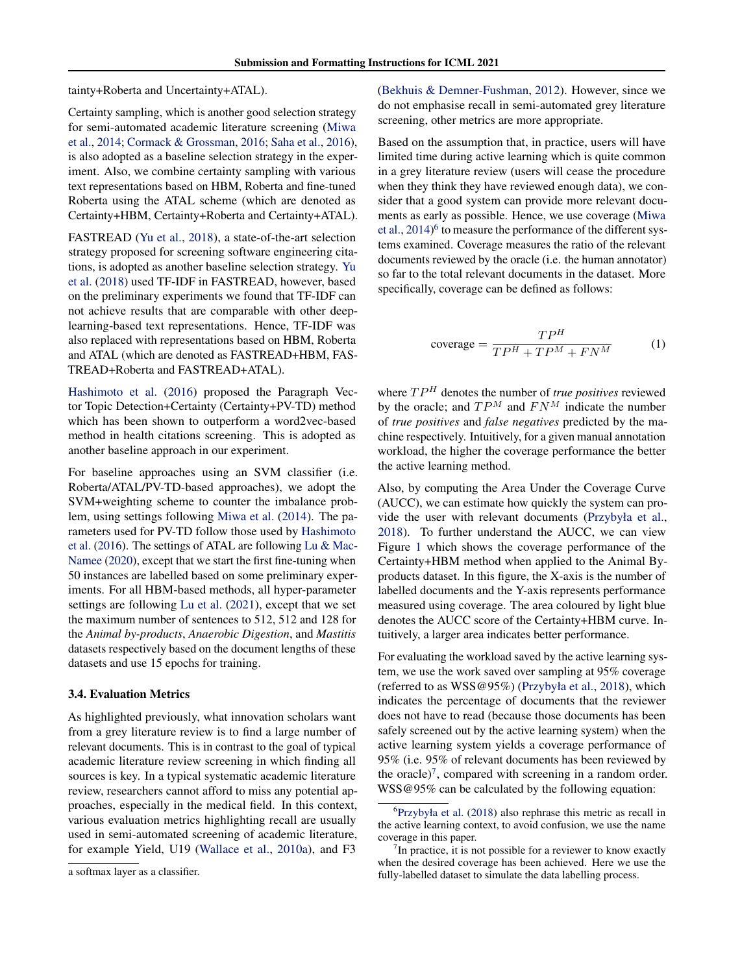tainty+Roberta and Uncertainty+ATAL).

Certainty sampling, which is another good selection strategy for semi-automated academic literature screening [\(Miwa](#page-8-0) [et al.,](#page-8-0) [2014;](#page-8-0) [Cormack & Grossman,](#page-8-0) [2016;](#page-8-0) [Saha et al.,](#page-8-0) [2016\)](#page-8-0), is also adopted as a baseline selection strategy in the experiment. Also, we combine certainty sampling with various text representations based on HBM, Roberta and fine-tuned Roberta using the ATAL scheme (which are denoted as Certainty+HBM, Certainty+Roberta and Certainty+ATAL).

FASTREAD [\(Yu et al.,](#page-9-0) [2018\)](#page-9-0), a state-of-the-art selection strategy proposed for screening software engineering citations, is adopted as another baseline selection strategy. [Yu](#page-9-0) [et al.](#page-9-0) [\(2018\)](#page-9-0) used TF-IDF in FASTREAD, however, based on the preliminary experiments we found that TF-IDF can not achieve results that are comparable with other deeplearning-based text representations. Hence, TF-IDF was also replaced with representations based on HBM, Roberta and ATAL (which are denoted as FASTREAD+HBM, FAS-TREAD+Roberta and FASTREAD+ATAL).

[Hashimoto et al.](#page-8-0) [\(2016\)](#page-8-0) proposed the Paragraph Vector Topic Detection+Certainty (Certainty+PV-TD) method which has been shown to outperform a word2vec-based method in health citations screening. This is adopted as another baseline approach in our experiment.

For baseline approaches using an SVM classifier (i.e. Roberta/ATAL/PV-TD-based approaches), we adopt the SVM+weighting scheme to counter the imbalance problem, using settings following [Miwa et al.](#page-8-0) [\(2014\)](#page-8-0). The parameters used for PV-TD follow those used by [Hashimoto](#page-8-0) [et al.](#page-8-0) [\(2016\)](#page-8-0). The settings of ATAL are following [Lu & Mac-](#page-8-0)[Namee](#page-8-0) [\(2020\)](#page-8-0), except that we start the first fine-tuning when 50 instances are labelled based on some preliminary experiments. For all HBM-based methods, all hyper-parameter settings are following [Lu et al.](#page-8-0) [\(2021\)](#page-8-0), except that we set the maximum number of sentences to 512, 512 and 128 for the *Animal by-products*, *Anaerobic Digestion*, and *Mastitis* datasets respectively based on the document lengths of these datasets and use 15 epochs for training.

### 3.4. Evaluation Metrics

As highlighted previously, what innovation scholars want from a grey literature review is to find a large number of relevant documents. This is in contrast to the goal of typical academic literature review screening in which finding all sources is key. In a typical systematic academic literature review, researchers cannot afford to miss any potential approaches, especially in the medical field. In this context, various evaluation metrics highlighting recall are usually used in semi-automated screening of academic literature, for example Yield, U19 [\(Wallace et al.,](#page-9-0) [2010a\)](#page-9-0), and F3

[\(Bekhuis & Demner-Fushman,](#page-8-0) [2012\)](#page-8-0). However, since we do not emphasise recall in semi-automated grey literature screening, other metrics are more appropriate.

Based on the assumption that, in practice, users will have limited time during active learning which is quite common in a grey literature review (users will cease the procedure when they think they have reviewed enough data), we consider that a good system can provide more relevant documents as early as possible. Hence, we use coverage [\(Miwa](#page-8-0) [et al.,](#page-8-0) [2014\)](#page-8-0)<sup>6</sup> to measure the performance of the different systems examined. Coverage measures the ratio of the relevant documents reviewed by the oracle (i.e. the human annotator) so far to the total relevant documents in the dataset. More specifically, coverage can be defined as follows:

$$
coverage = \frac{TP^H}{TP^H + TP^M + FN^M}
$$
 (1)

where  $TP^H$  denotes the number of *true positives* reviewed by the oracle; and  $TP^M$  and  $FN^M$  indicate the number of *true positives* and *false negatives* predicted by the machine respectively. Intuitively, for a given manual annotation workload, the higher the coverage performance the better the active learning method.

Also, by computing the Area Under the Coverage Curve (AUCC), we can estimate how quickly the system can provide the user with relevant documents [\(Przybyła et al.,](#page-8-0) [2018\)](#page-8-0). To further understand the AUCC, we can view Figure [1](#page-4-0) which shows the coverage performance of the Certainty+HBM method when applied to the Animal Byproducts dataset. In this figure, the X-axis is the number of labelled documents and the Y-axis represents performance measured using coverage. The area coloured by light blue denotes the AUCC score of the Certainty+HBM curve. Intuitively, a larger area indicates better performance.

For evaluating the workload saved by the active learning system, we use the work saved over sampling at 95% coverage (referred to as WSS@95%) [\(Przybyła et al.,](#page-8-0) [2018\)](#page-8-0), which indicates the percentage of documents that the reviewer does not have to read (because those documents has been safely screened out by the active learning system) when the active learning system yields a coverage performance of 95% (i.e. 95% of relevant documents has been reviewed by the oracle)<sup>7</sup>, compared with screening in a random order. WSS@95% can be calculated by the following equation:

a softmax layer as a classifier.

<sup>6</sup> [Przybyła et al.](#page-8-0) [\(2018\)](#page-8-0) also rephrase this metric as recall in the active learning context, to avoid confusion, we use the name coverage in this paper.

 $7$ In practice, it is not possible for a reviewer to know exactly when the desired coverage has been achieved. Here we use the fully-labelled dataset to simulate the data labelling process.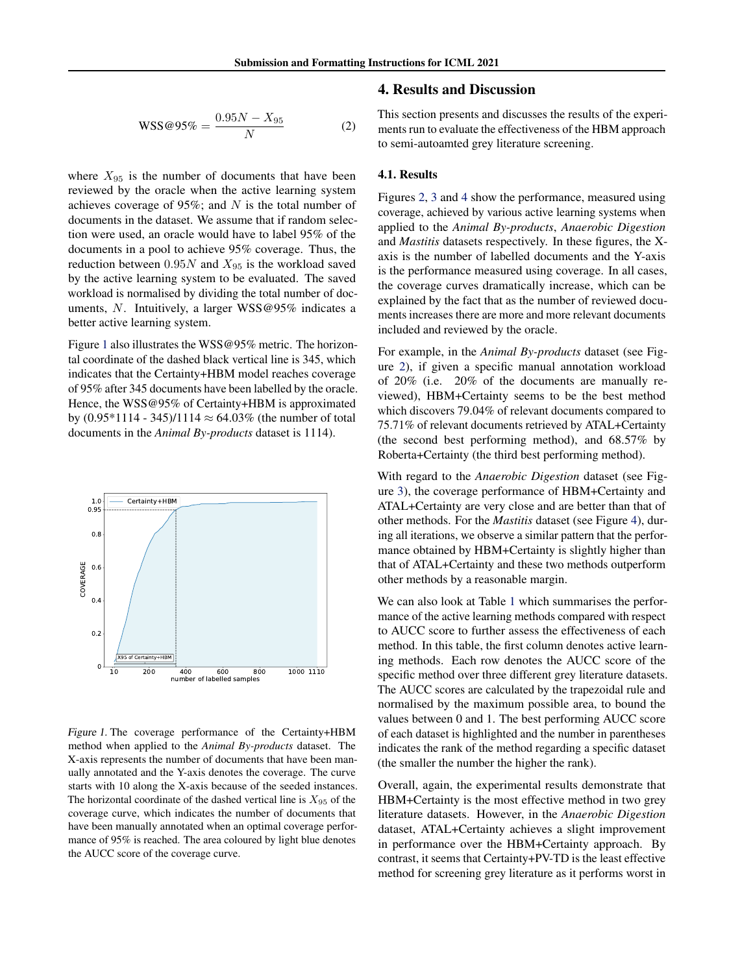#### <span id="page-4-0"></span> $WSS@95\% = \frac{0.95N - X_{95}}{N}$ N (2)

where  $X_{95}$  is the number of documents that have been reviewed by the oracle when the active learning system achieves coverage of 95%; and  $N$  is the total number of documents in the dataset. We assume that if random selection were used, an oracle would have to label 95% of the documents in a pool to achieve 95% coverage. Thus, the reduction between  $0.95N$  and  $X_{95}$  is the workload saved by the active learning system to be evaluated. The saved workload is normalised by dividing the total number of documents, N. Intuitively, a larger  $WSS@95%$  indicates a better active learning system.

Figure 1 also illustrates the WSS@95% metric. The horizontal coordinate of the dashed black vertical line is 345, which indicates that the Certainty+HBM model reaches coverage of 95% after 345 documents have been labelled by the oracle. Hence, the WSS@95% of Certainty+HBM is approximated by  $(0.95*1114 - 345)/1114 \approx 64.03\%$  (the number of total documents in the *Animal By-products* dataset is 1114).



Figure 1. The coverage performance of the Certainty+HBM method when applied to the *Animal By-products* dataset. The X-axis represents the number of documents that have been manually annotated and the Y-axis denotes the coverage. The curve starts with 10 along the X-axis because of the seeded instances. The horizontal coordinate of the dashed vertical line is  $X_{95}$  of the coverage curve, which indicates the number of documents that have been manually annotated when an optimal coverage performance of 95% is reached. The area coloured by light blue denotes the AUCC score of the coverage curve.

# 4. Results and Discussion

This section presents and discusses the results of the experiments run to evaluate the effectiveness of the HBM approach to semi-autoamted grey literature screening.

### 4.1. Results

Figures [2,](#page-5-0) [3](#page-5-0) and [4](#page-6-0) show the performance, measured using coverage, achieved by various active learning systems when applied to the *Animal By-products*, *Anaerobic Digestion* and *Mastitis* datasets respectively. In these figures, the Xaxis is the number of labelled documents and the Y-axis is the performance measured using coverage. In all cases, the coverage curves dramatically increase, which can be explained by the fact that as the number of reviewed documents increases there are more and more relevant documents included and reviewed by the oracle.

For example, in the *Animal By-products* dataset (see Figure [2\)](#page-5-0), if given a specific manual annotation workload of 20% (i.e. 20% of the documents are manually reviewed), HBM+Certainty seems to be the best method which discovers 79.04% of relevant documents compared to 75.71% of relevant documents retrieved by ATAL+Certainty (the second best performing method), and 68.57% by Roberta+Certainty (the third best performing method).

With regard to the *Anaerobic Digestion* dataset (see Figure [3\)](#page-5-0), the coverage performance of HBM+Certainty and ATAL+Certainty are very close and are better than that of other methods. For the *Mastitis* dataset (see Figure [4\)](#page-6-0), during all iterations, we observe a similar pattern that the performance obtained by HBM+Certainty is slightly higher than that of ATAL+Certainty and these two methods outperform other methods by a reasonable margin.

We can also look at Table [1](#page-5-0) which summarises the performance of the active learning methods compared with respect to AUCC score to further assess the effectiveness of each method. In this table, the first column denotes active learning methods. Each row denotes the AUCC score of the specific method over three different grey literature datasets. The AUCC scores are calculated by the trapezoidal rule and normalised by the maximum possible area, to bound the values between 0 and 1. The best performing AUCC score of each dataset is highlighted and the number in parentheses indicates the rank of the method regarding a specific dataset (the smaller the number the higher the rank).

Overall, again, the experimental results demonstrate that HBM+Certainty is the most effective method in two grey literature datasets. However, in the *Anaerobic Digestion* dataset, ATAL+Certainty achieves a slight improvement in performance over the HBM+Certainty approach. By contrast, it seems that Certainty+PV-TD is the least effective method for screening grey literature as it performs worst in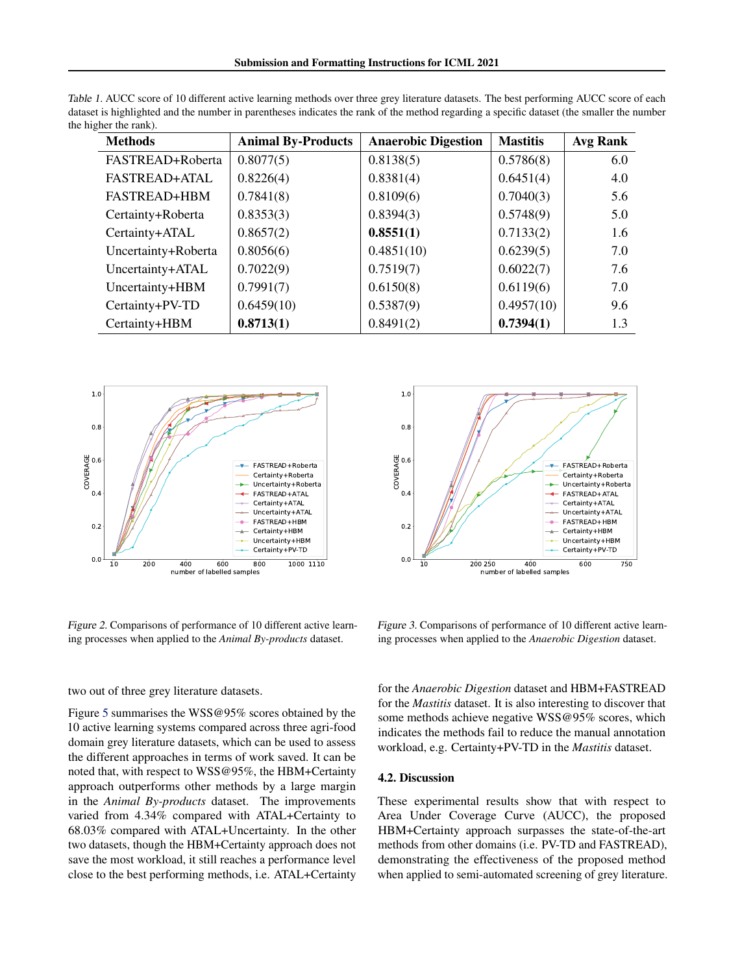| <b>Methods</b>       | <b>Animal By-Products</b> | <b>Anaerobic Digestion</b> | <b>Mastitis</b> | <b>Avg Rank</b> |
|----------------------|---------------------------|----------------------------|-----------------|-----------------|
| FASTREAD+Roberta     | 0.8077(5)                 | 0.8138(5)                  | 0.5786(8)       | 6.0             |
| <b>FASTREAD+ATAL</b> | 0.8226(4)                 | 0.8381(4)                  | 0.6451(4)       | 4.0             |
| <b>FASTREAD+HBM</b>  | 0.7841(8)                 | 0.8109(6)                  | 0.7040(3)       | 5.6             |
| Certainty+Roberta    | 0.8353(3)                 | 0.8394(3)                  | 0.5748(9)       | 5.0             |
| Certainty+ATAL       | 0.8657(2)                 | 0.8551(1)                  | 0.7133(2)       | 1.6             |
| Uncertainty+Roberta  | 0.8056(6)                 | 0.4851(10)                 | 0.6239(5)       | 7.0             |
| Uncertainty+ATAL     | 0.7022(9)                 | 0.7519(7)                  | 0.6022(7)       | 7.6             |
| Uncertainty+HBM      | 0.7991(7)                 | 0.6150(8)                  | 0.6119(6)       | 7.0             |
| Certainty+PV-TD      | 0.6459(10)                | 0.5387(9)                  | 0.4957(10)      | 9.6             |
| Certainty+HBM        | 0.8713(1)                 | 0.8491(2)                  | 0.7394(1)       | 1.3             |

<span id="page-5-0"></span>Table 1. AUCC score of 10 different active learning methods over three grey literature datasets. The best performing AUCC score of each dataset is highlighted and the number in parentheses indicates the rank of the method regarding a specific dataset (the smaller the number the higher the rank).



Figure 2. Comparisons of performance of 10 different active learning processes when applied to the *Animal By-products* dataset.

two out of three grey literature datasets.

Figure [5](#page-6-0) summarises the WSS@95% scores obtained by the 10 active learning systems compared across three agri-food domain grey literature datasets, which can be used to assess the different approaches in terms of work saved. It can be noted that, with respect to WSS@95%, the HBM+Certainty approach outperforms other methods by a large margin in the *Animal By-products* dataset. The improvements varied from 4.34% compared with ATAL+Certainty to 68.03% compared with ATAL+Uncertainty. In the other two datasets, though the HBM+Certainty approach does not save the most workload, it still reaches a performance level Example of the best performance of 10 different active learn-<br>
Figure 2. Comparisons of performance of 10 different active learn-<br>
Figure 3. Comparisons of performance of 10 different active line<br>
two out of three grey lit



Figure 3. Comparisons of performance of 10 different active learning processes when applied to the *Anaerobic Digestion* dataset.

for the *Anaerobic Digestion* dataset and HBM+FASTREAD for the *Mastitis* dataset. It is also interesting to discover that some methods achieve negative WSS@95% scores, which indicates the methods fail to reduce the manual annotation workload, e.g. Certainty+PV-TD in the *Mastitis* dataset.

### 4.2. Discussion

These experimental results show that with respect to Area Under Coverage Curve (AUCC), the proposed HBM+Certainty approach surpasses the state-of-the-art methods from other domains (i.e. PV-TD and FASTREAD), demonstrating the effectiveness of the proposed method when applied to semi-automated screening of grey literature.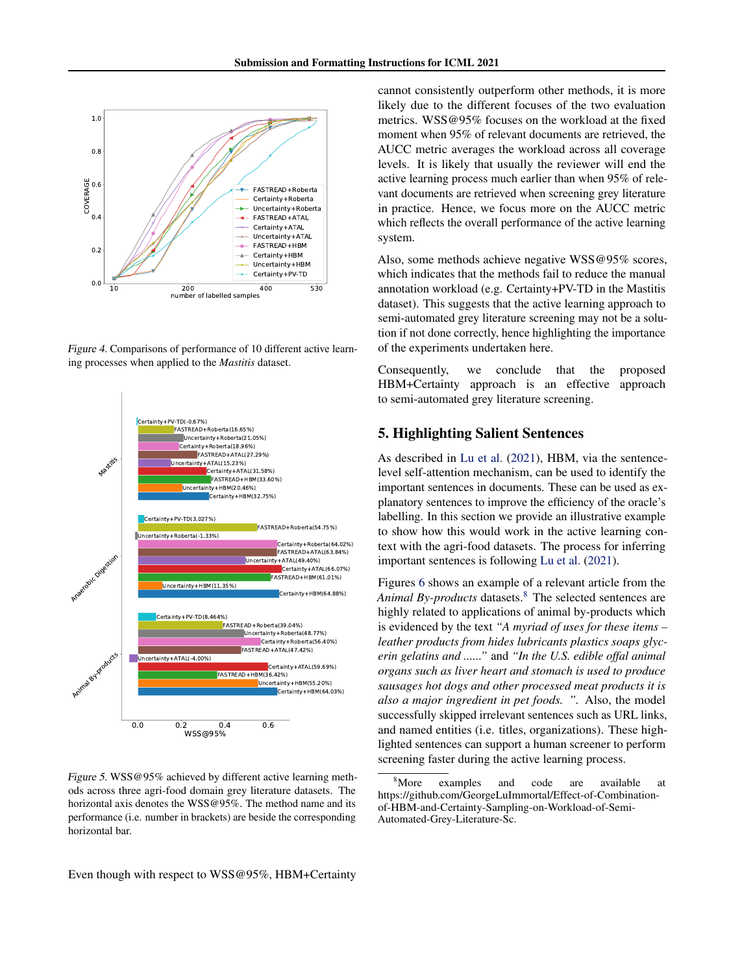<span id="page-6-0"></span>

Figure 4. Comparisons of performance of 10 different active learning processes when applied to the *Mastitis* dataset.



Figure 5. WSS@95% achieved by different active learning methods across three agri-food domain grey literature datasets. The horizontal axis denotes the WSS@95%. The method name and its performance (i.e. number in brackets) are beside the corresponding horizontal bar.

cannot consistently outperform other methods, it is more likely due to the different focuses of the two evaluation metrics. WSS@95% focuses on the workload at the fixed moment when 95% of relevant documents are retrieved, the AUCC metric averages the workload across all coverage levels. It is likely that usually the reviewer will end the active learning process much earlier than when 95% of relevant documents are retrieved when screening grey literature in practice. Hence, we focus more on the AUCC metric which reflects the overall performance of the active learning system.

Also, some methods achieve negative WSS@95% scores, which indicates that the methods fail to reduce the manual annotation workload (e.g. Certainty+PV-TD in the Mastitis dataset). This suggests that the active learning approach to semi-automated grey literature screening may not be a solution if not done correctly, hence highlighting the importance of the experiments undertaken here.

Consequently, we conclude that the proposed HBM+Certainty approach is an effective approach to semi-automated grey literature screening.

# 5. Highlighting Salient Sentences

As described in [Lu et al.](#page-8-0) [\(2021\)](#page-8-0), HBM, via the sentencelevel self-attention mechanism, can be used to identify the important sentences in documents. These can be used as explanatory sentences to improve the efficiency of the oracle's labelling. In this section we provide an illustrative example to show how this would work in the active learning context with the agri-food datasets. The process for inferring important sentences is following [Lu et al.](#page-8-0) [\(2021\)](#page-8-0).

Figures [6](#page-7-0) shows an example of a relevant article from the Animal By-products datasets.<sup>8</sup> The selected sentences are highly related to applications of animal by-products which is evidenced by the text *"A myriad of uses for these items – leather products from hides lubricants plastics soaps glycerin gelatins and ......"* and *"In the U.S. edible offal animal organs such as liver heart and stomach is used to produce sausages hot dogs and other processed meat products it is also a major ingredient in pet foods. ".* Also, the model successfully skipped irrelevant sentences such as URL links, and named entities (i.e. titles, organizations). These highlighted sentences can support a human screener to perform screening faster during the active learning process.

Even though with respect to WSS@95%, HBM+Certainty

<sup>&</sup>lt;sup>8</sup>More examples and code are available at https://github.com/GeorgeLuImmortal/Effect-of-Combinationof-HBM-and-Certainty-Sampling-on-Workload-of-Semi-Automated-Grey-Literature-Sc.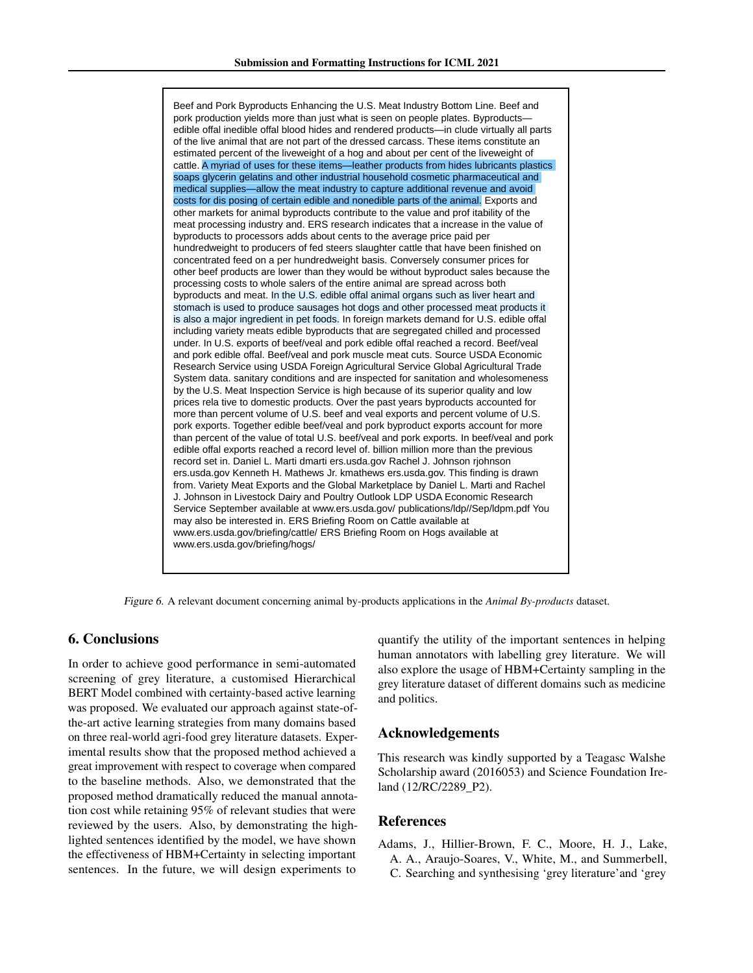<span id="page-7-0"></span>Beef and Pork Byproducts Enhancing the U.S. Meat Industry Bottom Line. Beef and pork production yields more than just what is seen on people plates. Byproducts edible offal inedible offal blood hides and rendered products—in clude virtually all parts of the live animal that are not part of the dressed carcass. These items constitute an estimated percent of the liveweight of a hog and about per cent of the liveweight of cattle. A myriad of uses for these items—leather products from hides lubricants plastics soaps glycerin gelatins and other industrial household cosmetic pharmaceutical and medical supplies—allow the meat industry to capture additional revenue and avoid costs for dis posing of certain edible and nonedible parts of the animal. Exports and other markets for animal byproducts contribute to the value and prof itability of the meat processing industry and. ERS research indicates that a increase in the value of byproducts to processors adds about cents to the average price paid per hundredweight to producers of fed steers slaughter cattle that have been finished on concentrated feed on a per hundredweight basis. Conversely consumer prices for other beef products are lower than they would be without byproduct sales because the processing costs to whole salers of the entire animal are spread across both byproducts and meat. In the U.S. edible offal animal organs such as liver heart and stomach is used to produce sausages hot dogs and other processed meat products it is also a major ingredient in pet foods. In foreign markets demand for U.S. edible offal including variety meats edible byproducts that are segregated chilled and processed under. In U.S. exports of beef/veal and pork edible offal reached a record. Beef/veal and pork edible offal. Beef/veal and pork muscle meat cuts. Source USDA Economic Research Service using USDA Foreign Agricultural Service Global Agricultural Trade System data. sanitary conditions and are inspected for sanitation and wholesomeness by the U.S. Meat Inspection Service is high because of its superior quality and low prices rela tive to domestic products. Over the past years byproducts accounted for more than percent volume of U.S. beef and veal exports and percent volume of U.S. pork exports. Together edible beef/veal and pork byproduct exports account for more than percent of the value of total U.S. beef/veal and pork exports. In beef/veal and pork edible offal exports reached a record level of. billion million more than the previous record set in. Daniel L. Marti dmarti ers.usda.gov Rachel J. Johnson rjohnson ers.usda.gov Kenneth H. Mathews Jr. kmathews ers.usda.gov. This finding is drawn from. Variety Meat Exports and the Global Marketplace by Daniel L. Marti and Rachel J. Johnson in Livestock Dairy and Poultry Outlook LDP USDA Economic Research Service September available at www.ers.usda.gov/ publications/ldp//Sep/ldpm.pdf You may also be interested in. ERS Briefing Room on Cattle available at www.ers.usda.gov/briefing/cattle/ ERS Briefing Room on Hogs available at www.ers.usda.gov/briefing/hogs/

Figure 6. A relevant document concerning animal by-products applications in the *Animal By-products* dataset.

### 6. Conclusions

In order to achieve good performance in semi-automated screening of grey literature, a customised Hierarchical BERT Model combined with certainty-based active learning was proposed. We evaluated our approach against state-ofthe-art active learning strategies from many domains based on three real-world agri-food grey literature datasets. Experimental results show that the proposed method achieved a great improvement with respect to coverage when compared to the baseline methods. Also, we demonstrated that the proposed method dramatically reduced the manual annotation cost while retaining 95% of relevant studies that were reviewed by the users. Also, by demonstrating the highlighted sentences identified by the model, we have shown the effectiveness of HBM+Certainty in selecting important sentences. In the future, we will design experiments to

quantify the utility of the important sentences in helping human annotators with labelling grey literature. We will also explore the usage of HBM+Certainty sampling in the grey literature dataset of different domains such as medicine and politics.

# Acknowledgements

This research was kindly supported by a Teagasc Walshe Scholarship award (2016053) and Science Foundation Ireland (12/RC/2289\_P2).

# References

Adams, J., Hillier-Brown, F. C., Moore, H. J., Lake, A. A., Araujo-Soares, V., White, M., and Summerbell, C. Searching and synthesising 'grey literature'and 'grey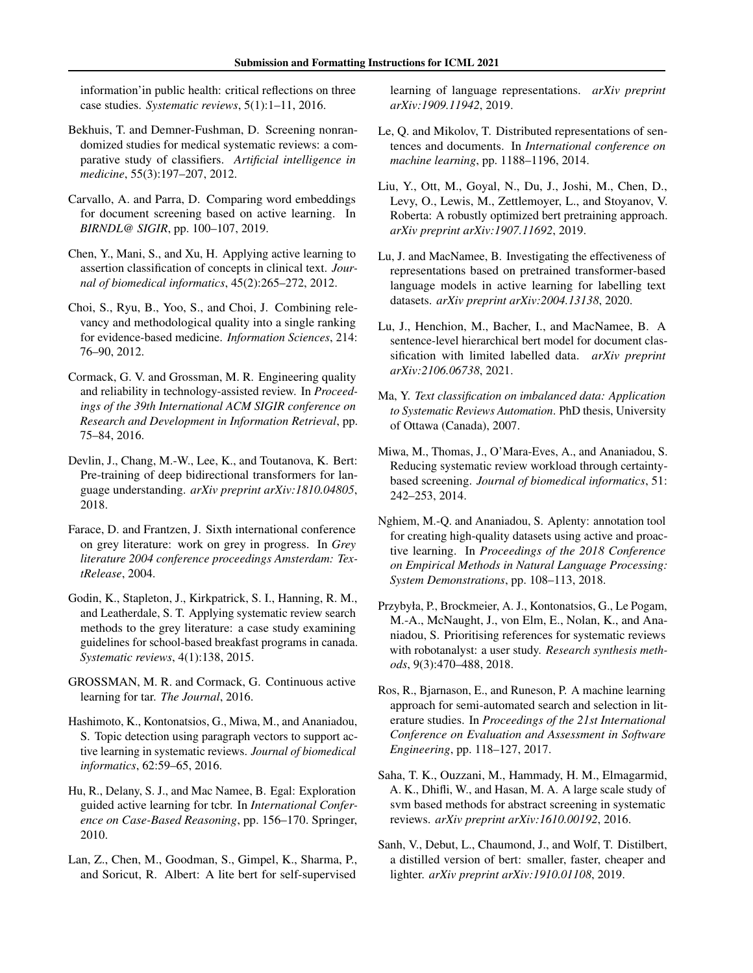<span id="page-8-0"></span>information'in public health: critical reflections on three case studies. *Systematic reviews*, 5(1):1–11, 2016.

- Bekhuis, T. and Demner-Fushman, D. Screening nonrandomized studies for medical systematic reviews: a comparative study of classifiers. *Artificial intelligence in medicine*, 55(3):197–207, 2012.
- Carvallo, A. and Parra, D. Comparing word embeddings for document screening based on active learning. In *BIRNDL@ SIGIR*, pp. 100–107, 2019.
- Chen, Y., Mani, S., and Xu, H. Applying active learning to assertion classification of concepts in clinical text. *Journal of biomedical informatics*, 45(2):265–272, 2012.
- Choi, S., Ryu, B., Yoo, S., and Choi, J. Combining relevancy and methodological quality into a single ranking for evidence-based medicine. *Information Sciences*, 214: 76–90, 2012.
- Cormack, G. V. and Grossman, M. R. Engineering quality and reliability in technology-assisted review. In *Proceedings of the 39th International ACM SIGIR conference on Research and Development in Information Retrieval*, pp. 75–84, 2016.
- Devlin, J., Chang, M.-W., Lee, K., and Toutanova, K. Bert: Pre-training of deep bidirectional transformers for language understanding. *arXiv preprint arXiv:1810.04805*, 2018.
- Farace, D. and Frantzen, J. Sixth international conference on grey literature: work on grey in progress. In *Grey literature 2004 conference proceedings Amsterdam: TextRelease*, 2004.
- Godin, K., Stapleton, J., Kirkpatrick, S. I., Hanning, R. M., and Leatherdale, S. T. Applying systematic review search methods to the grey literature: a case study examining guidelines for school-based breakfast programs in canada. *Systematic reviews*, 4(1):138, 2015.
- GROSSMAN, M. R. and Cormack, G. Continuous active learning for tar. *The Journal*, 2016.
- Hashimoto, K., Kontonatsios, G., Miwa, M., and Ananiadou, S. Topic detection using paragraph vectors to support active learning in systematic reviews. *Journal of biomedical informatics*, 62:59–65, 2016.
- Hu, R., Delany, S. J., and Mac Namee, B. Egal: Exploration guided active learning for tcbr. In *International Conference on Case-Based Reasoning*, pp. 156–170. Springer, 2010.
- Lan, Z., Chen, M., Goodman, S., Gimpel, K., Sharma, P., and Soricut, R. Albert: A lite bert for self-supervised

learning of language representations. *arXiv preprint arXiv:1909.11942*, 2019.

- Le, Q. and Mikolov, T. Distributed representations of sentences and documents. In *International conference on machine learning*, pp. 1188–1196, 2014.
- Liu, Y., Ott, M., Goyal, N., Du, J., Joshi, M., Chen, D., Levy, O., Lewis, M., Zettlemoyer, L., and Stoyanov, V. Roberta: A robustly optimized bert pretraining approach. *arXiv preprint arXiv:1907.11692*, 2019.
- Lu, J. and MacNamee, B. Investigating the effectiveness of representations based on pretrained transformer-based language models in active learning for labelling text datasets. *arXiv preprint arXiv:2004.13138*, 2020.
- Lu, J., Henchion, M., Bacher, I., and MacNamee, B. A sentence-level hierarchical bert model for document classification with limited labelled data. *arXiv preprint arXiv:2106.06738*, 2021.
- Ma, Y. *Text classification on imbalanced data: Application to Systematic Reviews Automation*. PhD thesis, University of Ottawa (Canada), 2007.
- Miwa, M., Thomas, J., O'Mara-Eves, A., and Ananiadou, S. Reducing systematic review workload through certaintybased screening. *Journal of biomedical informatics*, 51: 242–253, 2014.
- Nghiem, M.-Q. and Ananiadou, S. Aplenty: annotation tool for creating high-quality datasets using active and proactive learning. In *Proceedings of the 2018 Conference on Empirical Methods in Natural Language Processing: System Demonstrations*, pp. 108–113, 2018.
- Przybyła, P., Brockmeier, A. J., Kontonatsios, G., Le Pogam, M.-A., McNaught, J., von Elm, E., Nolan, K., and Ananiadou, S. Prioritising references for systematic reviews with robotanalyst: a user study. *Research synthesis methods*, 9(3):470–488, 2018.
- Ros, R., Bjarnason, E., and Runeson, P. A machine learning approach for semi-automated search and selection in literature studies. In *Proceedings of the 21st International Conference on Evaluation and Assessment in Software Engineering*, pp. 118–127, 2017.
- Saha, T. K., Ouzzani, M., Hammady, H. M., Elmagarmid, A. K., Dhifli, W., and Hasan, M. A. A large scale study of svm based methods for abstract screening in systematic reviews. *arXiv preprint arXiv:1610.00192*, 2016.
- Sanh, V., Debut, L., Chaumond, J., and Wolf, T. Distilbert, a distilled version of bert: smaller, faster, cheaper and lighter. *arXiv preprint arXiv:1910.01108*, 2019.